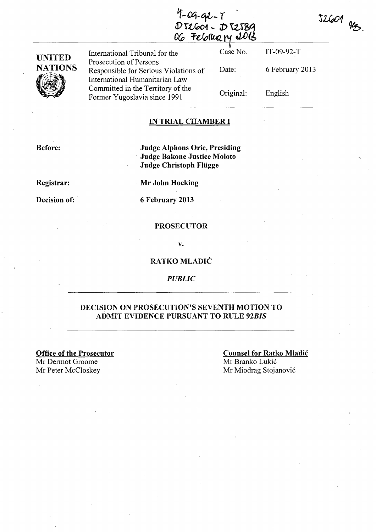4-09-92-1<br>D 52601 - D 52589<br>06 February 1013

| <b>UNITED</b>  | International Tribunal for the                                                                    | Case No.  | $IT-09-92-T$    |  |
|----------------|---------------------------------------------------------------------------------------------------|-----------|-----------------|--|
| <b>NATIONS</b> | Prosecution of Persons<br>Responsible for Serious Violations of<br>International Humanitarian Law | Date:     | 6 February 2013 |  |
|                | Committed in the Territory of the<br>Former Yugoslavia since 1991                                 | Original: | English         |  |

## IN TRIAL CHAMBER I

Before:

Judge Alphons Orie, Presiding Judge Bakone Justice Moloto Judge Christoph Fliigge

Registrar:

Mr John Hocking

Decision of:

6 February 2013

#### PROSECUTOR

v.

### RATKO MLADIC

*PUBLIC* 

## DECISION ON PROSECUTION'S SEVENTH MOTION TO ADMIT EVIDENCE PURSUANT TO RULE *92BIS*

Office of the Prosecutor Mr Dermot Groome Mr Peter McCloskey Mr Miodrag Stojanović

Counsel for Ratko Mladic Mr Branko Lukić

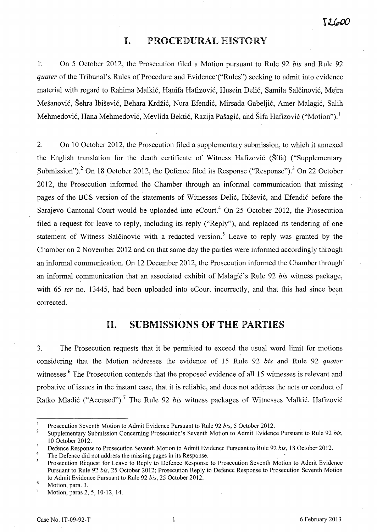## **I.** PROCEDURAL HISTORY

1-; On 5 October 2012, the Prosecution filed a Motion pursuant to Rule 92 *bis* and Rule 92 *quater* of the Tribunal's Rules of Procedure and Evidence'("Rules") seeking to admit into evidence material with regard to Rahima Malkić, Hanifa Hafizović, Husein Delić, Samila Salčinović, Mejra Mešanović, Šehra Ibišević, Behara Krdžić, Nura Efendić, Mirsada Gabeljić, Amer Malagić, Salih Mehmedović, Hana Mehmedović, Mevlida Bektić, Razija Pašagić, and Šifa Hafizović ("Motion").<sup>1</sup>

2. On 10 October 2012, the Prosecution filed a supplementary submission, to which it annexed the English translation for the death certificate of Witness Hafizović (Šifa) ("Supplementary Submission").<sup>2</sup> On 18 October 2012, the Defence filed its Response ("Response").<sup>3</sup> On 22 October 2012, the Prosecution informed the Chamber through an informal communication that missing pages of the BCS version of the statements of Witnesses Delić, Ibišević, and Efendić before the Sarajevo Cantonal Court would be uploaded into eCourt.<sup>4</sup> On 25 October 2012, the Prosecution filed a request for leave to reply, including its reply ("Reply"), and replaced its tendering of one statement of Witness Salčinović with a redacted version.<sup>5</sup> Leave to reply was granted by the Chamber on 2 November 2012 and on that same day the parties were informed accordingly through an informal communication. On 12 December 2012, the Prosecution informed the Chamber through an informal communication that an associated exhibit of Malagić's Rule 92 *bis* witness package, with 65 *ter* no. 13445, had been uploaded into eCourt incorrectly, and that this had since been corrected.

# 11. SUBMISSIONS OF THE PARTIES

3. The Prosecution requests that it be permitted to exceed the usual word limit for motions considering that the Motion addresses the evidence of 15 Rule 92 *bis* and Rule 92 *quater*  witnesses.<sup>6</sup> The Prosecution contends that the proposed evidence of all 15 witnesses is relevant and probative of issues in the instant case, that it is reliable, and does not address the acts or conduct of Ratko Mladić ("Accused").<sup>7</sup> The Rule 92 *bis* witness packages of Witnesses Malkić, Hafizović

 $\mathbf{1}$ Prosecution Seventh Motion to Admit Evidence Pursuant to Rule 92 *bis*, 5 October 2012.

<sup>2</sup>  Supplementary Submission Concerning Prosecution's Seventh Motion to Admit Evidence Pursuant to Rule 92 *bis,*  10 October 2012.

<sup>3</sup> Defence Response to Prosecution Seventh Motion to Admit Evidence Pursuant to Rule 92 *bis,* 18 October 2012.

<sup>4</sup>  The Defence did not address the missing pages in its Response.

<sup>5</sup> Prosecution Request for Leave to Reply to Defence Response to Prosecution Seventh Motion to Admit Evidence Pursuant to Rule 92 *bis,* 25 October 2012; Prosecution Reply to Defence Response to Prosecution Seventh Motion to Admit Evidence Pursuant to Rule 92 *bis,* 25 October 2012.

<sup>6</sup>  Motion, para. 3.

<sup>7</sup>  Motion, paras 2, 5, 10-12, 14.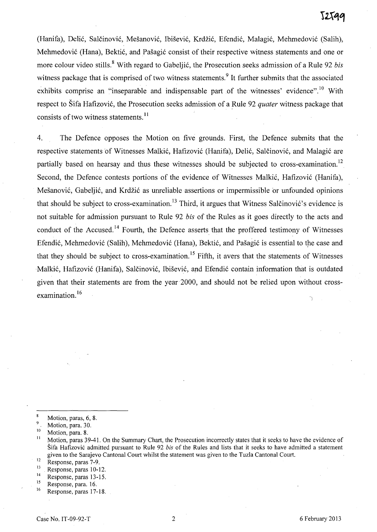(Hanifa), Delić, Salčinović, Mešanović, Ibišević, Krdžić, Efendić, Malagić, Mehmedović (Salih), Mehmedovic (Hana), Bektic, and Pasagic consist of their respective witness statements and one or more colour video stills. 8 With regard to Gabeljic, the Prosecution seeks admission of a Rule 92 *bis*  witness package that is comprised of two witness statements.<sup>9</sup> It further submits that the associated exhibits comprise an "inseparable and indispensable part of the witnesses' evidence".<sup>10</sup> With respect to Šifa Hafizović, the Prosecution seeks admission of a Rule 92 *quater* witness package that consists of two witness statements.<sup>11</sup>

4. The Defence opposes the Motion on five grounds. First, the Defence submits that the respective statements of Witnesses Malkić, Hafizović (Hanifa), Delić, Salčinović, and Malagić are partially based on hearsay and thus these witnesses should be subjected to cross-examination.<sup>12</sup> Second, the Defence contests portions of the evidence of Witnesses Malkic, Hafizovic (Hanifa), Mešanović, Gabeljić, and Krdžić as unreliable assertions or impermissible or unfounded opinions that should be subject to cross-examination.<sup>13</sup> Third, it argues that Witness Salčinović's evidence is not suitable for admission pursuant to Rule 92 *bis* of the Rules as it goes directly to the acts and conduct of the Accused. 14 Fourth, the Defence asserts that the proffered testimony of Witnesses Efendić, Mehmedović (Salih), Mehmedović (Hana), Bektić, and Pašagić is essential to the case and that they should be subject to cross-examination.<sup>15</sup> Fifth, it avers that the statements of Witnesses Malkić, Hafizović (Hanifa), Salčinović, Ibišević, and Efendić contain information that is outdated given that their statements are from the year· 2000, and should not be relied upon without crossexamination. $16$ 

 $\bf 8$ Motion, paras, 6, 8.

<sup>&</sup>lt;sup>9</sup>. Motion, para. 30.<br><sup>10</sup> Motion, para. 8.

Motion, paras 39-41. On the Summary Chart, the Prosecution incorrectly states that it seeks to have the evidence of Sifa Hafizovic admitted pursuant to Rule 92 *bis* of the Rules and lists that it seeks to have admitted a statement given to the Sarajevo Cantonal Court whilst the statement was given to the Tuzla Cantonal Court.

 $\frac{12}{13}$  Response, paras 7-9.

 $13$  Response, paras 10-12.

<sup>&</sup>lt;sup>14</sup> Response, paras 13-15.

 $\frac{15}{16}$  Response, para. 16.

Response, paras 17-18.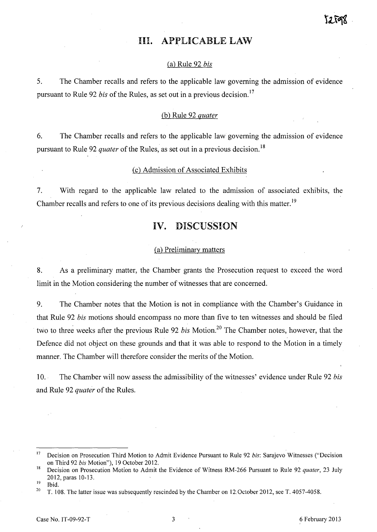# Ill. APPLICABLE LAW

#### Ca) Rule 92 *bis*

5. The Chamber recalls and refers to the applicable law governing the admission of evidence pursuant to Rule 92 *bis* of the Rules, as set out in a previous decision.<sup>17</sup>

## Cb) Rule 92 *quater*

6. The Chamber recalls and refers to the applicable law governing the admission of evidence pursuant to Rule 92 *quater* of the Rules, as set out in a previous decision. 18

## Cc) Admission of Associated Exhibits

7. With regard to the applicable law related to the admission of associated exhibits, the Chamber recalls and refers to one of its previous decisions dealing with this matter.<sup>19</sup>

# **IV.** DISCUSSION

#### (a) Preliminary matters

8. As a preliminary matter, the Chamber grants the Prosecution request to exceed the word limit in the Motion considering the number of witnesses that are concerned.

9. The Chamber notes that the Motion is not in compliance with the Chamber's Guidance in that Rule 92 *bis* motions should encompass no more than five to ten witnesses and should be filed two to three weeks after the previous Rule 92 *bis* Motion.<sup>20</sup> The Chamber notes, however, that the Defence did not object on these grounds and that it was able to respond to the Motion in a timely manner. The Chamber will therefore consider the merits of the Motion.

10. The Chamber will now assess the admissibility of the witnesses' evidence under Rule 92 *bis* and Rule 92 *quater* of the Rules.

<sup>17</sup> Decision on Prosecution Third Motion to Admit Evidence Pursuant to Rule 92 *his:* Sarajevo Witnesses ("Decision on Third 92 *his* Motion"), 19 October 2012.

<sup>18</sup> Decision on Prosecution Motion to Admit the Evidence of Witness RM-266 Pursuant to Rule 92 *quater,* 23 July 2012, paras 10-13.

<sup>19</sup> Ibid.

<sup>&</sup>lt;sup>20</sup> T. 108. The latter issue was subsequently rescinded by the Chamber on 12 October 2012, see T. 4057-4058.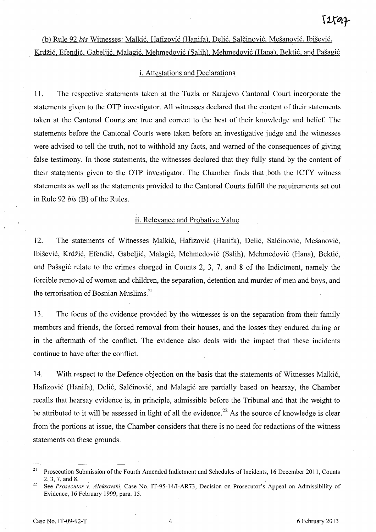# (b) Rule 92 *bis Witnesses: Malkić, Hafizović (Hanifa), Delić, Salčinović, Mešanović, Ibišević,* Krdžić, Efendić, Gabeljić, Malagić, Mehmedović (Salih), Mehmedović (Hana), Bektić, and Pašagić

## i. Attestations and Declarations

11. The respective statements taken at the Tuzla or Sarajevo Cantonal Court incorporate the statements given to the OTP investigator. All witnesses declared that the content of their statements taken at the Cantonal Courts are true and correct to the best of their knowledge and belief. The statements before the Cantonal Courts were taken before an investigative judge and the witnesses were advised to tell the truth, not to withhold any facts, and warned of the consequences of giving false testimony. In those statements, the witnesses declared that they fully stand by the content of their statements given to the OTP investigator. The Chamber finds that both the ICTY witness statements as well as the statements provided to the Cantonal Courts fulfill the requirements set out in Rule 92 *bis* (B) of the Rules.

#### ii. Relevance and Probative Value

12. The statements of Witnesses Malkić, Hafizović (Hanifa), Delić, Salčinović, Mešanović, Ibišević, Krdžić, Efendić, Gabeljić, Malagić, Mehmedović (Salih), Mehmedović (Hana), Bektić, and Pašagić relate to the crimes charged in Counts 2, 3, 7, and 8 of the Indictment, namely the forcible removal of women and children, the separation, detention and murder of men and boys, and the terrorisation of Bosnian Muslims.<sup>21</sup>

13. The focus of the evidence provided by the witnesses is on the separation from their family members and friends, the forced removal from their houses, and the losses they endured during or in the aftermath of the conflict. The evidence also deals with the impact that these incidents continue to have after the conflict.

14. With respect to the Defence objection on the basis that the statements of Witnesses Malkić, Hafizović (Hanifa), Delić, Salčinović, and Malagić are partially based on hearsay, the Chamber recalls that hearsay evidence is, in principle, admissible before the Tribunal and that the weight to be attributed to it will be assessed in light of all the evidence.<sup>22</sup> As the source of knowledge is clear from the portions at issue, the Chamber considers that there is no need for redactions of the witness statements on these grounds.

<sup>&</sup>lt;sup>21</sup> Prosecution Submission of the Fourth Amended Indictment and Schedules of Incidents, 16 December 2011, Counts 2,3, 7, and 8.

<sup>22</sup> See *Prosecutor* v. *Aleksovski,* Case No. LT-95-14/I-AR73, Decision on Prosecutor's Appeal on Admissibility of Evidence, 16 February 1999, para. 15.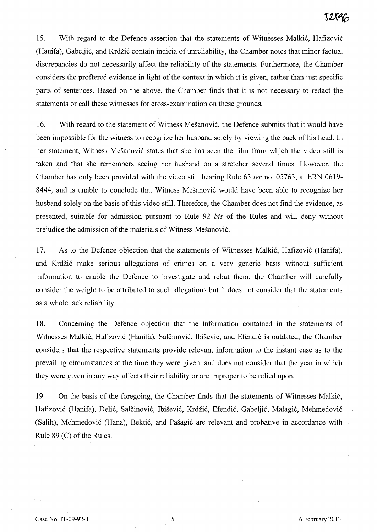15. With regard to the Defence assertion that the statements of Witnesses Malkić, Hafizović (Hanifa), Gabeljić, and Krdžić contain indicia of unreliability, the Chamber notes that minor factual discrepancies do not necessarily affect the reliability of the statements. Furthermore, the Chamber considers the proffered evidence in light of the context in which it is given, rather than just specific parts of sentences. Based on the above, the Chamber finds that it is not necessary to redact the statements or call these witnesses for cross-examination on these grounds.

16. With regard to the statement of Witness Mesanovi6, the Defence submits that it would have been impossible for the witness to recognize her husband solely by viewing the back of his head. In . her statement, Witness Mesanovi6 states that she has seen the film from which the video still is taken and that she remembers seeing her husband on a stretcher several times. However, the Chamber has only been provided with the video still bearing Rule 65 fer no. 05763, at ERN 0619- 8444, and is unable to conclude that Witness Mešanović would have been able to recognize her husband solely on the basis of this video still. Therefore, the Chamber does not find the evidence, as presented, suitable for admission pursuant to Rule 92 *bis* of the Rules and will deny without prejudice the admission of the materials of Witness Mešanović.

17. As to the Defence objection that the statements of Witnesses Malkić, Hafizović (Hanifa), and Krdžić make serious allegations of crimes on a very generic basis without sufficient information to enable the Defence to investigate and rebut them, the Chamber will carefully consider the weight to be attributed to such allegations but it does not consider that the statements as a whole lack reliability.

18. Concerning the Defence objection that the information contained in the statements of Witnesses Malkić, Hafizović (Hanifa), Salčinović, Ibišević, and Efendić is outdated, the Chamber considers that the respective statements provide relevant information to the instant case as to the prevailing circumstances at the time they were given, and does not consider that the year in which they were given in any way affects their reliability or are improper to be relied upon.

19. On the basis of the foregoing, the Chamber finds that the statements of Witnesses Malki6, Hafizović (Hanifa), Delić, Salčinović, Ibišević, Krdžić, Efendić, Gabeljić, Malagić, Mehmedović (Salih), Mehmedović (Hana), Bektić, and Pašagić are relevant and probative in accordance with Rule 89 (C) of the Rules.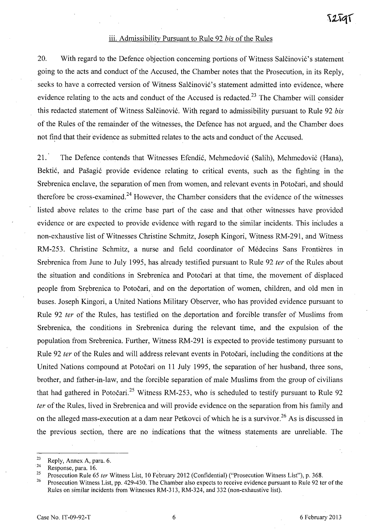#### iii. Admissibility Pursuant to Rule 92 *bis* of the Rules

20. With regard to the Defence objection concerning portions of Witness Salctinović's statement going to the acts and conduct of the Accused, the Chamber notes that the Prosecution, in its Reply, seeks to have a corrected version of Witness Salčinović's statement admitted into evidence, where evidence relating to the acts and conduct of the Accused is redacted.<sup>23</sup> The Chamber will consider this redacted statement of Witness Salčinović. With regard to admissibility pursuant to Rule 92 *bis* of the Rules of the remainder of the witnesses, the Defence has not argued, and the Chamber does not find that their evidence as submitted relates to the acts and conduct of the Accused.

21. The Defence contends that Witnesses Efendić, Mehmedović (Salih), Mehmedović (Hana), Bektić, and Pašagić provide evidence relating to critical events, such as the fighting in the Srebrenica enclave, the separation of men from women, and relevant events in Potočari, and should therefore be cross-examined.<sup>24</sup> However, the Chamber considers that the evidence of the witnesses listed above relates to the crime base part of the case and that other witnesses have provided evidence or are expected to provide evidence with regard to the similar incidents. This includes a non-exhaustive list of Witnesses Christine Schmitz, Joseph Kingori, Witness RM-291, and Witness RM-253. Christine Schmitz, a nurse and field coordinator of Medecins Sans Frontieres in Srebrenica from June to July 1995, has already testified pursuant to Rule 92 *ter* of the Rules about the situation and conditions in Srebrenica and Potocari at that time, the movement of displaced people from Srebrenica to Potočari, and on the deportation of women, children, and old men in buses. Joseph Kingori, a United Nations Military Observer, who has provided evidence pursuant to Rule 92 fer of the Rules, has testified on the ,deportation and forcible transfer of Muslims from Srebrenica, the conditions in Srebrenica during the relevant time, and the expulsion of the population from Srebrenica. Further, Witness RM-291 is expected to provide testimony pursuant to Rule 92 ter of the Rules and will address relevant events in Potočari, including the conditions at the United Nations compound at Potocari on 11 July 1995, the separation of her husband, three sons, brother, and father-in-law, and the forcible separation of male Muslims from the group of civilians that had gathered in Potočari.<sup>25</sup> Witness RM-253, who is scheduled to testify pursuant to Rule 92 ter of the Rules, lived in Srebrenica and will provide evidence on the separation from his family and on the alleged mass-execution at a dam near Petkovci of which he is a survivor.<sup>26</sup> As is discussed in the previous section, there are no indications that the witness statements are unreliable. The

 $\frac{23}{24}$  Reply, Annex A, para, 6.

Response, para. 16.

<sup>&</sup>lt;sup>25</sup> Prosecution Rule 65 *ter* Witness List, 10 February 2012 (Confidential) ("Prosecution Witness List"), p. 368,

<sup>26</sup> Prosecution Witness List, pp. 429-430, The Chamber also expects to receive evidence pursuant to Rule 92 ter of the Rules on similar incidents from Witnesses RM-313, RM-324, and 332 (non-exhaustive list).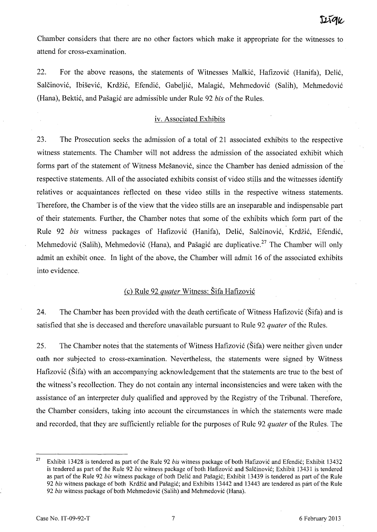Chamber considers that there are no other factors which make it appropriate for the witnesses to attend for cross-examination.

22. For the above reasons, the statements of Witnesses Malkić, Hafizović (Hanifa), Delić, Salčinović, Ibišević, Krdžić, Efendić, Gabeljić, Malagić, Mehmedović (Salih), Mehmedović (Hana), Bekti6, and Pasagi6 are admissible under Rule 92 *bis* of the Rules.

#### iv. Associated Exhibits

23. The Prosecution seeks the admission of a total of 21 associated exhibits to the respective witness statements. The Chamber will not address the admission of the associated exhibit which forms part of the statement of Witness Mešanović, since the Chamber has denied admission of the respective statements. All of the associated exhibits consist of video stills and the witnesses identify relatives or acquaintances reflected on these video stills in the respective witness statements. Therefore, the Chamber is of the view that the video stills are an inseparable and indispensable part of their statements. Further, the Chamber notes that some of the exhibits which form part of the Rule 92 *bis* witness packages of Hafizović (Hanifa), Delić, Salčinović, Krdžić, Efendić, Mehmedović (Salih), Mehmedović (Hana), and Pašagić are duplicative.<sup>27</sup> The Chamber will only admit an exhibit once. In light of the above, the Chamber will admit 16 of the associated exhibits into evidence.

## Cc) Rule 92 *quater* Witness: Sifa Hafizovi6

24. The Chamber has been provided with the death certificate of Witness Hafizović (Šifa) and is satisfied that she is deceased and therefore unavailable pursuant to Rule 92 *quater* of the Rules.

25. The Chamber notes that the statements of Witness Hafizović (Sifa) were neither given under oath nor subjected to cross-examination. Nevertheless, the statements were signed by Witness Hafizović (Sifa) with an accompanying acknowledgement that the statements are true to the best of the witness's recollection. They do not contain any internal inconsistencies and were taken with the assistance of an interpreter duly qualified and approved by the Registry of the Tribunal. Therefore, the Chamber considers, taking into account the circumstances in which the statements were made and recorded, that they are sufficiently reliable for the purposes of Rule 92 *quater* of the Rules. The

<sup>27</sup> Exhibit 13428 is tendered as part of the Rule 92 *bis* witness package of both Hafizovic and Efendic; Exhibit 13432 is tendered as part of the Rule 92 *bis* witness package of both Hafizovic and Salcinovic; Exhibit 13431 is tendered as part of the Rule 92 *bis* witness package of both Delic and Pasagic; Exhibit 13439 is tendered as part of the Rule *92 bis* witness package of both Krdzic and Pasagic; and Exhibits 13442 and 13443 are tendered as part of the Rule *92 bis* witness package of both Mehmedovic (Salih) and Mehmedovic (Hana).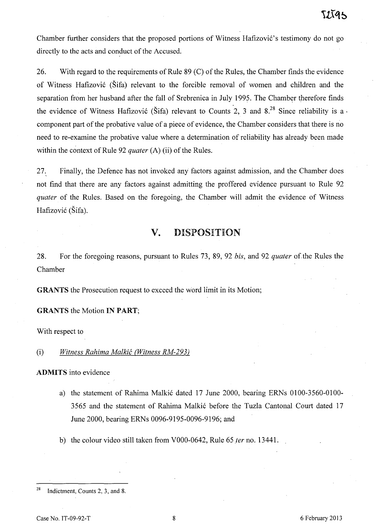Chamber further considers that the proposed portions of Witness Hafizović's testimony do not go directly to the acts and conduct of the Accused.

26. With regard to the requirements of Rule 89 (C) of the Rules, the Chamber finds the evidence of Witness Hafizovi6 (Sifa) relevant to the forcible removal of women and children and the separation from her husband after the fall of Srebrenica in July 1995. The Chamber therefore finds the evidence of Witness Hafizović (Šifa) relevant to Counts 2, 3 and  $8^{28}$  Since reliability is a component part of the probative value of a piece of evidence, the Chamber considers that there is no need to re-examine the probative value where a determination of reliability has already been made within the context of Rule 92 *quater* (A) (ii) of the Rules.

27. Finally, the Defence has not invoked any factors against admission, and the Chamber does not find that there are any factors against admitting the proffered evidence pursuant to Rule 92 *quater* of the Rules. Based on the foregoing, the Chamber will admit the evidence of Witness Hafizović (Šifa).

# **v.** DISPOSITION

28. For the foregoing reasons, pursuant to Rules 73, 89, 92 *bis*, and 92 *quater* of the Rules the Chamber

GRANTS the Prosecution request to exceed the word limit in its Motion;

#### GRANTS the Motion IN PART;

With respect to

(i) *Witness Rahima Malkic (Witness RM-293)* 

ADMITS into evidence

- a) the statement of Rahima Malkić dated 17 June 2000, bearing ERNs 0100-3560-0100-3565 and the statement of Rahima Malkić before the Tuzla Cantonal Court dated 17 June 2000, bearing ERNs 0096-9195-0096-9196; and
- b) the colour video still taken from VOOO-0642, Rule 65 *ter* no. 13441.

<sup>&</sup>lt;sup>28</sup> Indictment, Counts 2, 3, and 8.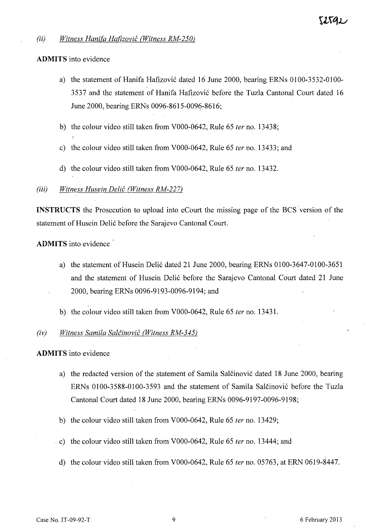### *(ii)* Witness Hanifa Hafizović (Witness RM-250)

#### **ADMITS** into evidence

- a) the statement of Hanifa Hafizović dated 16 June 2000, bearing ERNs 0100-3532-0100-3537 and the statement of Hanifa Hafizović before the Tuzla Cantonal Court dated 16 June 2000, bearing ERNs 0096-8615-0096-8616;
- b) the colour video still taken from VOOO-0642, Rule 65 *fer* no. 13438;
- c) the colour video still taken from VOOO-0642, Rule 65 *ter* no. 13433; and
- d) the colour video still taken from VOOO-0642, Rule 65 *ter* no. 13432.

#### *(iii) Witness Husein Delif: (Witness RM-227)*

**INSTRUCTS** the Prosecution to upload into eCourt the missing page of the BCS'version of the statement of Husein Delić before the Sarajevo Cantonal Court.

**ADMITS** into evidence

- a) the statement of Husein Delić dated 21 June 2000, bearing ERNs 0100-3647-0100-3651 and the statement of Husein Delić before the Sarajevo Cantonal Court dated 21 June 2000, bearing ERNs 0096-9193-0096-9194; and
- b) the colour video still taken from VOOO-0642, Rule 65 *ter* no. 13431.

#### *(iv) Witness Samila Salcinovif: (Witness RM-345)*

**ADMITS** into evidence

- a) the redacted version of the statement of Samila Salctinović dated 18 June 2000, bearing ERNs 0100-3588-0100-3593 and the statement of Samila Salčinović before the Tuzla Cantonal Court dated 18 June 2000, bearing ERNs 0096-9197-0096-9198;
- b) the colour video still taken from VOOO-0642, Rule 65 *ter* no. 13429;
- c) the colour video still taken from VOOO-0642, Rule 65 *ter* no. 13444; and
- d) the colour video still taken from VOOO-0642, Rule 65 *fer* no. 05763, at ERN 0619-8447.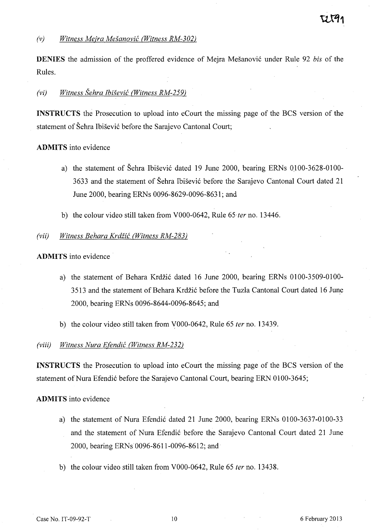**DENIES** the admission of the proffered evidence of Meira Mešanović under Rule 92 *bis* of the Rules.

## *(vi) Witness Sehra Ibisevic (Witness RM-259)*

**INSTRUCTS** the Prosecution to upload into eCourt the missing page of the BCS version of the statement of Šehra Ibišević before the Sarajevo Cantonal Court;

#### **ADMITS** into evidence

- a) the statement of Šehra Ibišević dated 19 June 2000, bearing ERNs 0100-3628-0100-3633 and the statement of Sehra Ibisevi6 before the Sarajevo Cantonal Court dated 21 June 2000, bearing ERNs 0096-8629-0096-8631; and
- b) the colour video still taken from V000-0642, Rule 65 ter no. 13446.

#### *(vii) Witness Behara Krdiic (Witness RM-283)*

#### **ADMITS** into evidence

- a) the statement of Behara Krdžić dated 16 June 2000, bearing ERNs 0100-3509-0100-3513 and the statement of Behara Krdzi6 before the Tuzla Cantonal Court dated 16 June 2000, bearing ERNs 0096-8644-0096-8645; and
- b) the colour video still taken from \,'000-0642, Rule 65 *ter* no. 13439.

#### *(viii) Witness Nura E(endic (Witness RM-232)*

**INSTRUCTS** the Prosecution to upload into eCourt the missing page of the BCS version of the statement of Nura Efendić before the Sarajevo Cantonal Court, bearing ERN 0100-3645;

#### **ADMITS** into evidence

- a) the statement of Nura Efendić dated 21 June 2000, bearing ERNs 0100-3637-0100-33 and the statement of Nura Efendić before the Sarajevo Cantonal Court dated 21 June 2000, bearing ERNs 0096-8611-0096-8612; and
- b) the colour video still taken from VOOO-0642, Rule 65 *ter* no. 13438.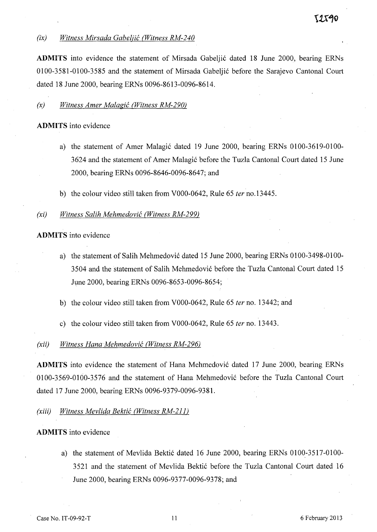## *(ix) Witness Mirsada Gabeljic (Witness RM-240*

ADMITS into evidence the statement of Mirsada Gabeljić dated 18 June 2000, bearing ERNs 0.10.0.-3581-0.10.0.-3585 and the statement of Mirsada Gabelji6 before the Sarajevo Cantonal Court dated 18 June 2000, bearing ERNs 0096-8613-0096-8614.

## *(x) Witness Amer Malagic (Witness RM-290)*

## **ADMITS** into evidence

- a) the statement of Amer Malagić dated 19 June 2000, bearing ERNs 0100-3619-0100-3624 and the statement of Amer Malagić before the Tuzla Cantonal Court dated 15 June 2000, bearing ERNs 0096-8646-0096-8647; and
- b) the colour video still taken from V000-0642, Rule 65 *ter* no. 13445.

## *(xi) Witness Salih Mehmedovic (Witness RM-299)*

## **ADMITS** into evidence

- a) the statement of Salih Mehmedović dated 15 June 2000, bearing ERNs 0100-3498-0100-350.4 and the statement of Salih Mehmedovi6 before the Tuzla Cantonal Court dated 15 June 2000, bearing ERNs 0096-8653-0096-8654;
- b) the colour video still taken from V000-0642, Rule 65 *ter* no. 13442; and
- c) the colour video still taken from V000-0642, Rule 65 *ter* no. 13443.

## *(xii) Witness HanaMehmedovic (Witness RM-296)*

**ADMITS** into evidence the statement of Hana Mehmedović dated 17 June 2000, bearing ERNs 0.100-3569-0.100-3576 and the statement of Hana Mehmedović before the Tuzla Cantonal Court dated 17 June 2000, bearing ERNs 0096-9379-0096-9381.

## *(xiii) Witness Mevlida Bektic (Witness RM-211)*

## **ADMITS** into evidence

a) the statement of Mevlida Bektić dated 16 June 2000, bearing ERNs 0100-3517-0100-3521 and the statement of Mevlida Bektić before the Tuzla Cantonal Court dated 16 June 2000, bearing ERNs 0096-9377-0096-9378; and